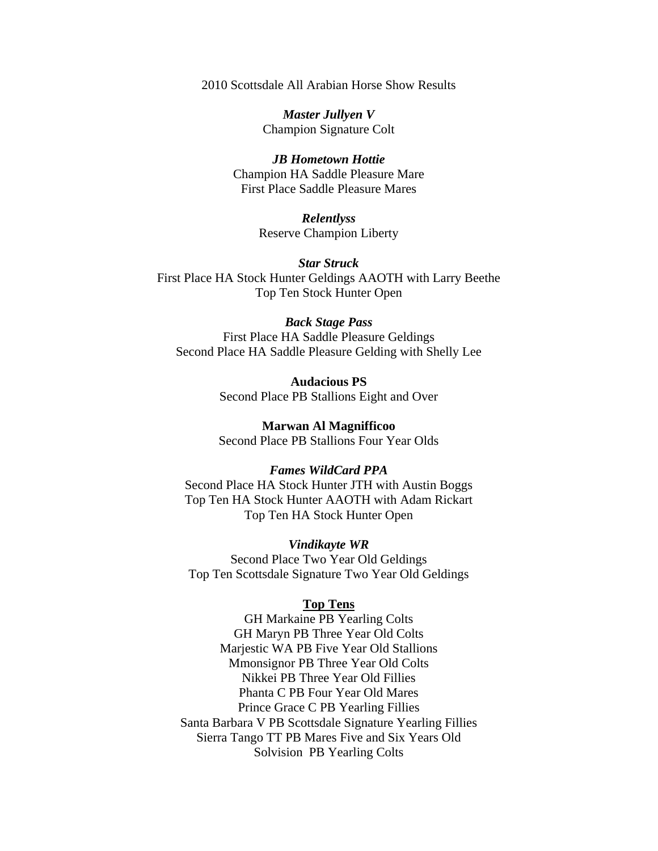2010 Scottsdale All Arabian Horse Show Results

*Master Jullyen V*  Champion Signature Colt

*JB Hometown Hottie*  Champion HA Saddle Pleasure Mare First Place Saddle Pleasure Mares

> *Relentlyss*  Reserve Champion Liberty

*Star Struck*  First Place HA Stock Hunter Geldings AAOTH with Larry Beethe Top Ten Stock Hunter Open

## *Back Stage Pass*

First Place HA Saddle Pleasure Geldings Second Place HA Saddle Pleasure Gelding with Shelly Lee

> **Audacious PS**  Second Place PB Stallions Eight and Over

> **Marwan Al Magnifficoo**  Second Place PB Stallions Four Year Olds

## *Fames WildCard PPA*

Second Place HA Stock Hunter JTH with Austin Boggs Top Ten HA Stock Hunter AAOTH with Adam Rickart Top Ten HA Stock Hunter Open

*Vindikayte WR* 

Second Place Two Year Old Geldings Top Ten Scottsdale Signature Two Year Old Geldings

## **Top Tens**

GH Markaine PB Yearling Colts GH Maryn PB Three Year Old Colts Marjestic WA PB Five Year Old Stallions Mmonsignor PB Three Year Old Colts Nikkei PB Three Year Old Fillies Phanta C PB Four Year Old Mares Prince Grace C PB Yearling Fillies Santa Barbara V PB Scottsdale Signature Yearling Fillies Sierra Tango TT PB Mares Five and Six Years Old Solvision PB Yearling Colts